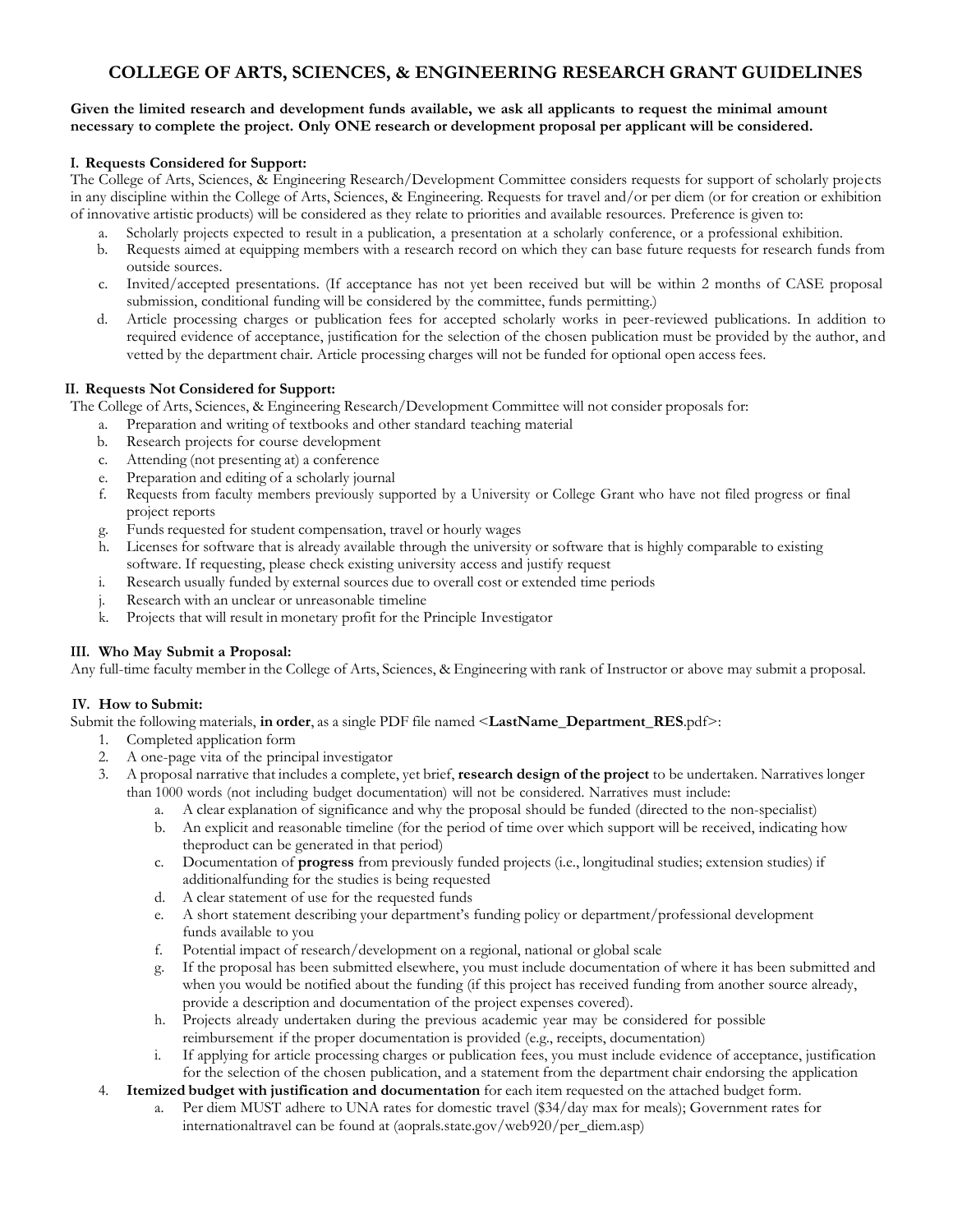# **COLLEGE OF ARTS, SCIENCES, & ENGINEERING RESEARCH GRANT GUIDELINES**

#### Given the limited research and development funds available, we ask all applicants to request the minimal amount **necessary to complete the project. Only ONE research or development proposal per applicant will be considered.**

## **I. Requests Considered for Support:**

The College of Arts, Sciences, & Engineering Research/Development Committee considers requests for support of scholarly projects in any discipline within the College of Arts, Sciences, & Engineering. Requests for travel and/or per diem (or for creation or exhibition of innovative artistic products) will be considered as they relate to priorities and available resources. Preference is given to:

- a. Scholarly projects expected to result in a publication, a presentation at a scholarly conference, or a professional exhibition.
- b. Requests aimed at equipping members with a research record on which they can base future requests for research funds from outside sources.
- c. Invited/accepted presentations. (If acceptance has not yet been received but will be within 2 months of CASE proposal submission, conditional funding will be considered by the committee, funds permitting.)
- d. Article processing charges or publication fees for accepted scholarly works in peer-reviewed publications. In addition to required evidence of acceptance, justification for the selection of the chosen publication must be provided by the author, and vetted by the department chair. Article processing charges will not be funded for optional open access fees.

## **II. Requests Not Considered for Support:**

The College of Arts, Sciences, & Engineering Research/Development Committee will not consider proposals for:

- a. Preparation and writing of textbooks and other standard teaching material
- b. Research projects for course development
- c. Attending (not presenting at) a conference
- e. Preparation and editing of a scholarly journal
- f. Requests from faculty members previously supported by a University or College Grant who have not filed progress or final project reports
- g. Funds requested for student compensation, travel or hourly wages
- h. Licenses for software that is already available through the university or software that is highly comparable to existing software. If requesting, please check existing university access and justify request
- i. Research usually funded by external sources due to overall cost or extended time periods
- j. Research with an unclear or unreasonable timeline
- k. Projects that will result in monetary profit for the Principle Investigator

# **III. Who May Submit a Proposal:**

Any full-time faculty member in the College of Arts, Sciences, & Engineering with rank of Instructor or above may submit a proposal.

# **IV. How to Submit:**

Submit the following materials, **in order**, as a single PDF file named <**LastName\_Department\_RES**.pdf>:

- 1. Completed application form
- 2. A one-page vita of the principal investigator
- 3. A proposal narrative that includes a complete, yet brief, **research design of the project** to be undertaken. Narratives longer than 1000 words (not including budget documentation) will not be considered. Narratives must include:
	- a. A clear explanation of significance and why the proposal should be funded (directed to the non-specialist)
	- b. An explicit and reasonable timeline (for the period of time over which support will be received, indicating how theproduct can be generated in that period)
	- c. Documentation of **progress** from previously funded projects (i.e., longitudinal studies; extension studies) if additionalfunding for the studies is being requested
	- d. A clear statement of use for the requested funds
	- e. A short statement describing your department's funding policy or department/professional development funds available to you
	- f. Potential impact of research/development on a regional, national or global scale
	- If the proposal has been submitted elsewhere, you must include documentation of where it has been submitted and when you would be notified about the funding (if this project has received funding from another source already, provide a description and documentation of the project expenses covered).
	- h. Projects already undertaken during the previous academic year may be considered for possible reimbursement if the proper documentation is provided (e.g., receipts, documentation)
	- i. If applying for article processing charges or publication fees, you must include evidence of acceptance, justification for the selection of the chosen publication, and a statement from the department chair endorsing the application
- 4. **Itemized budget with justification and documentation** for each item requested on the attached budget form.
	- Per diem MUST adhere to UNA rates for domestic travel (\$34/day max for meals); Government rates for internationaltravel can be found at (aoprals.state.gov/web920/per\_diem.asp)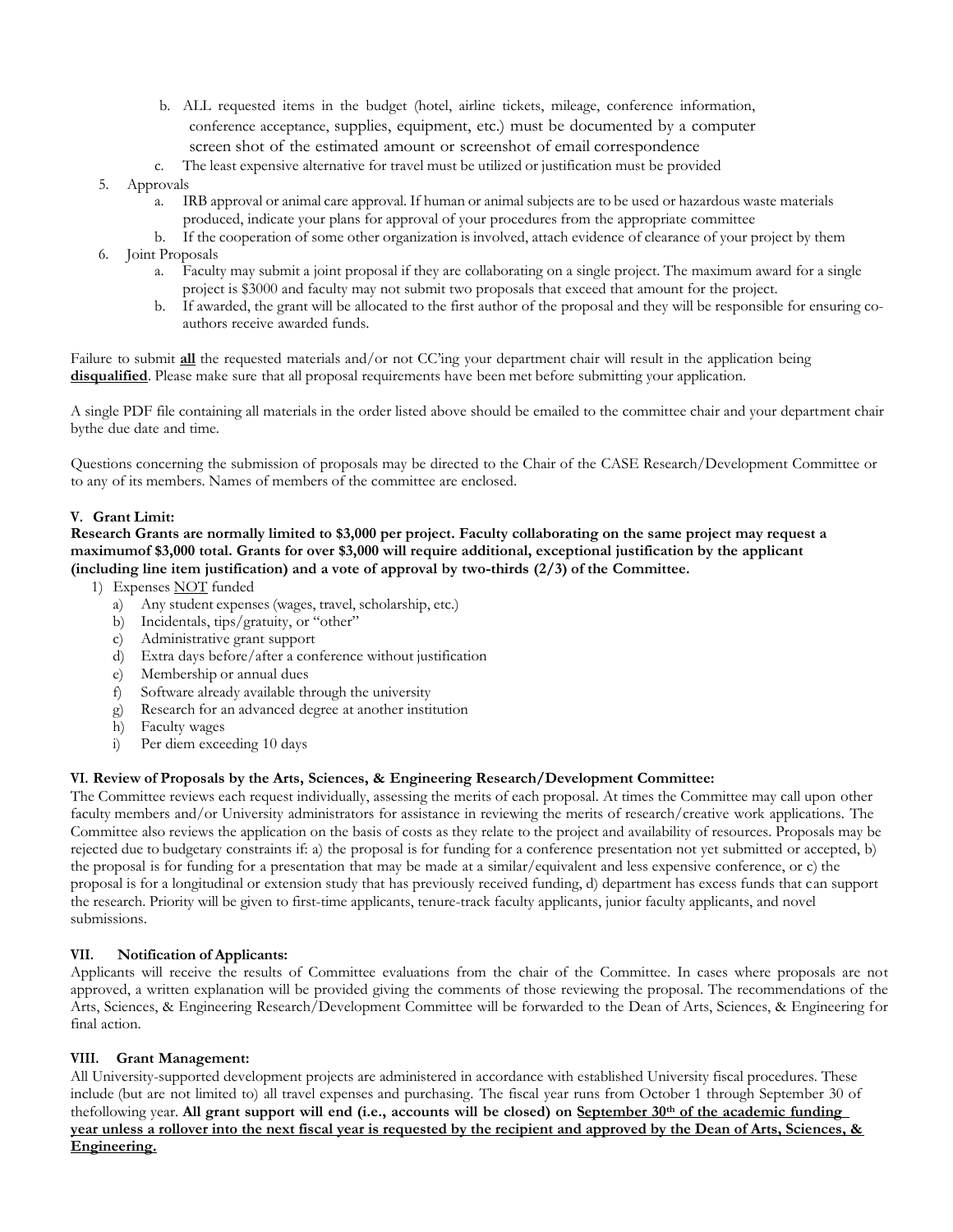- b. ALL requested items in the budget (hotel, airline tickets, mileage, conference information, conference acceptance, supplies, equipment, etc.) must be documented by a computer screen shot of the estimated amount or screenshot of email correspondence
- c. The least expensive alternative for travel must be utilized or justification must be provided

#### 5. Approvals

- a. IRB approval or animal care approval. If human or animal subjects are to be used or hazardous waste materials produced, indicate your plans for approval of your procedures from the appropriate committee
- b. If the cooperation of some other organization is involved, attach evidence of clearance of your project by them 6. Joint Proposals
	- a. Faculty may submit a joint proposal if they are collaborating on a single project. The maximum award for a single
		- project is \$3000 and faculty may not submit two proposals that exceed that amount for the project. b. If awarded, the grant will be allocated to the first author of the proposal and they will be responsible for ensuring coauthors receive awarded funds.

Failure to submit **all** the requested materials and/or not CC'ing your department chair will result in the application being **disqualified**. Please make sure that all proposal requirements have been met before submitting your application.

A single PDF file containing all materials in the order listed above should be emailed to the committee chair and your department chair bythe due date and time.

Questions concerning the submission of proposals may be directed to the Chair of the CASE Research/Development Committee or to any of its members. Names of members of the committee are enclosed.

#### **V. Grant Limit:**

#### **Research Grants are normally limited to \$3,000 per project. Faculty collaborating on the same project may request a maximumof \$3,000 total. Grants for over \$3,000 will require additional, exceptional justification by the applicant (including line item justification) and a vote of approval by two-thirds (2/3) of the Committee.**

- 1) Expenses NOT funded
	- a) Any student expenses (wages, travel, scholarship, etc.)
	- b) Incidentals, tips/gratuity, or "other"
	- c) Administrative grant support
	- d) Extra days before/after a conference without justification
	- e) Membership or annual dues
	- f) Software already available through the university
	- g) Research for an advanced degree at another institution
	- h) Faculty wages
	- i) Per diem exceeding 10 days

#### **VI. Review of Proposals by the Arts, Sciences, & Engineering Research/Development Committee:**

The Committee reviews each request individually, assessing the merits of each proposal. At times the Committee may call upon other faculty members and/or University administrators for assistance in reviewing the merits of research/creative work applications. The Committee also reviews the application on the basis of costs as they relate to the project and availability of resources. Proposals may be rejected due to budgetary constraints if: a) the proposal is for funding for a conference presentation not yet submitted or accepted, b) the proposal is for funding for a presentation that may be made at a similar/equivalent and less expensive conference, or c) the proposal is for a longitudinal or extension study that has previously received funding, d) department has excess funds that can support the research. Priority will be given to first-time applicants, tenure-track faculty applicants, junior faculty applicants, and novel submissions.

#### **VII. Notification of Applicants:**

Applicants will receive the results of Committee evaluations from the chair of the Committee. In cases where proposals are not approved, a written explanation will be provided giving the comments of those reviewing the proposal. The recommendations of the Arts, Sciences, & Engineering Research/Development Committee will be forwarded to the Dean of Arts, Sciences, & Engineering for final action.

#### **VIII. Grant Management:**

All University-supported development projects are administered in accordance with established University fiscal procedures. These include (but are not limited to) all travel expenses and purchasing. The fiscal year runs from October 1 through September 30 of thefollowing year. All grant support will end (i.e., accounts will be closed) on September 30<sup>th</sup> of the academic funding **year unless a rollover into the next fiscal year is requested by the recipient and approved by the Dean of Arts, Sciences, & Engineering.**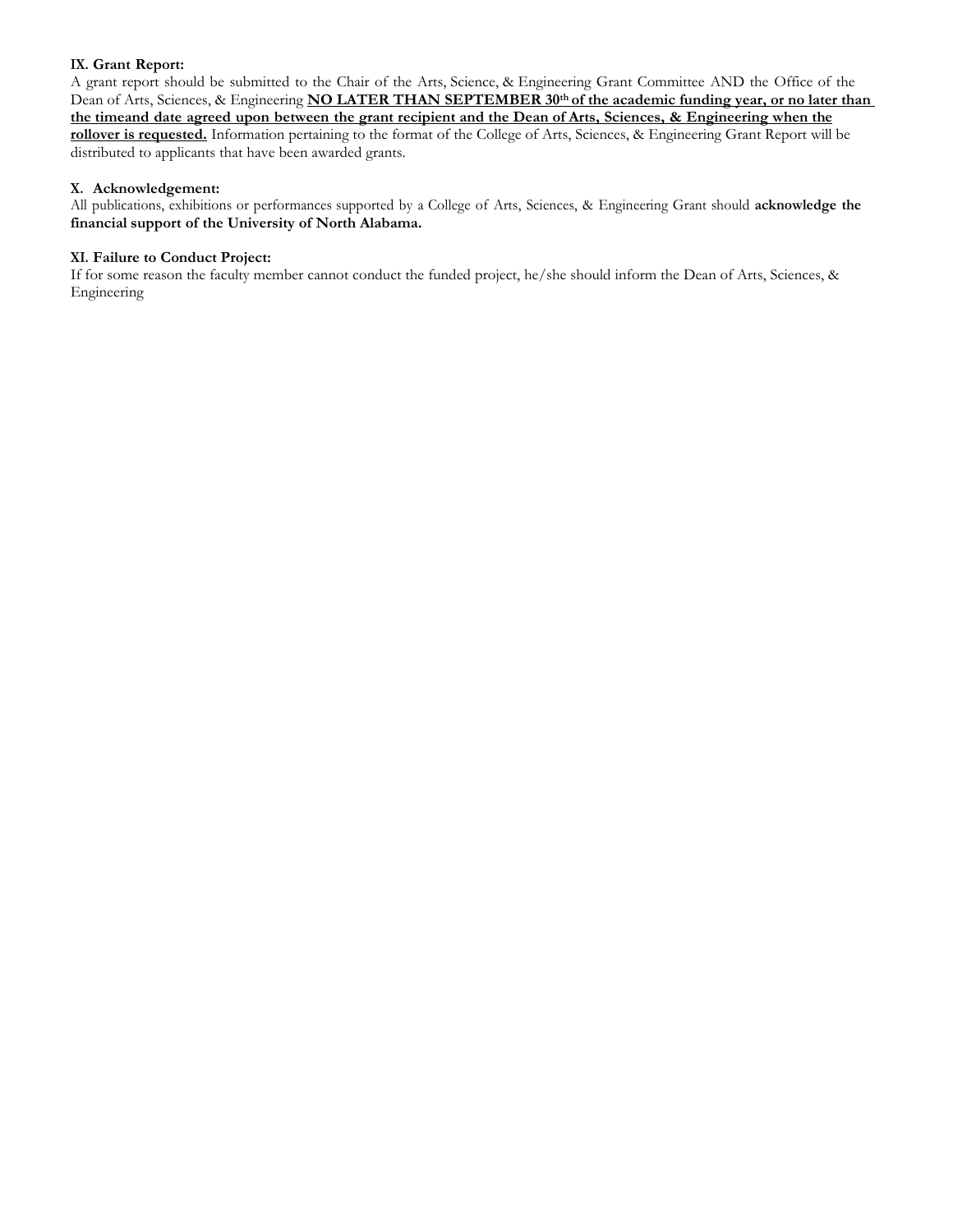## **IX. Grant Report:**

A grant report should be submitted to the Chair of the Arts, Science, & Engineering Grant Committee AND the Office of the Dean of Arts, Sciences, & Engineering **NO LATER THAN SEPTEMBER 30th of the academic funding year, or no later than the timeand date agreed upon between the grant recipient and the Dean of Arts, Sciences, & Engineering when the rollover is requested.** Information pertaining to the format of the College of Arts, Sciences, & Engineering Grant Report will be distributed to applicants that have been awarded grants.

#### **X. Acknowledgement:**

All publications, exhibitions or performances supported by a College of Arts, Sciences, & Engineering Grant should **acknowledge the financial support of the University of North Alabama.**

#### **XI. Failure to Conduct Project:**

If for some reason the faculty member cannot conduct the funded project, he/she should inform the Dean of Arts, Sciences, & Engineering